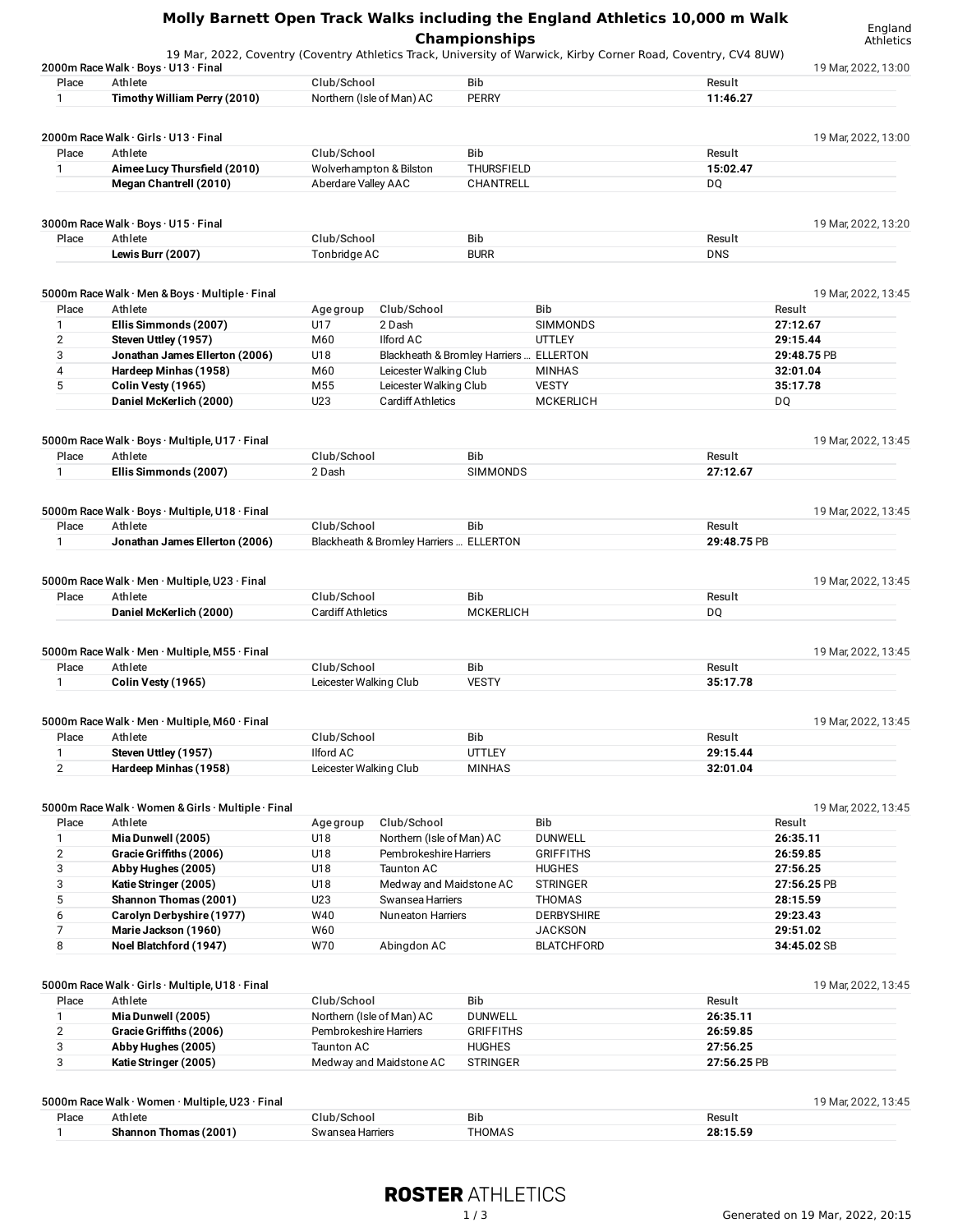|                |                                                                                                                                                        |                                         |                                         | <b>Championships</b>           |                   | Molly Barnett Open Track Walks including the England Athletics 10,000 m Walk | England<br>Athletics |
|----------------|--------------------------------------------------------------------------------------------------------------------------------------------------------|-----------------------------------------|-----------------------------------------|--------------------------------|-------------------|------------------------------------------------------------------------------|----------------------|
|                | 19 Mar, 2022, Coventry (Coventry Athletics Track, University of Warwick, Kirby Corner Road, Coventry, CV4 8UW)<br>2000m Race Walk · Boys · U13 · Final |                                         |                                         |                                |                   |                                                                              | 19 Mar, 2022, 13:00  |
| Place          | Athlete                                                                                                                                                | Club/School                             |                                         | <b>Bib</b>                     |                   | Result                                                                       |                      |
| $\mathbf{1}$   | Timothy William Perry (2010)                                                                                                                           |                                         | Northern (Isle of Man) AC               | <b>PERRY</b>                   |                   | 11:46.27                                                                     |                      |
|                |                                                                                                                                                        |                                         |                                         |                                |                   |                                                                              |                      |
|                | 2000m Race Walk · Girls · U13 · Final                                                                                                                  |                                         |                                         |                                |                   |                                                                              | 19 Mar, 2022, 13:00  |
| Place          | Athlete                                                                                                                                                | Club/School                             |                                         | <b>Bib</b>                     |                   | Result                                                                       |                      |
| 1              | Aimee Lucy Thursfield (2010)                                                                                                                           |                                         | Wolverhampton & Bilston                 | THURSFIELD                     |                   | 15:02.47                                                                     |                      |
|                | Megan Chantrell (2010)                                                                                                                                 | Aberdare Valley AAC                     |                                         | CHANTRELL                      |                   | DQ                                                                           |                      |
|                | 3000m Race Walk · Boys · U15 · Final                                                                                                                   |                                         |                                         |                                |                   |                                                                              | 19 Mar, 2022, 13:20  |
| Place          | Athlete                                                                                                                                                | Club/School                             |                                         | Bib                            |                   | Result                                                                       |                      |
|                | Lewis Burr (2007)                                                                                                                                      | Tonbridge AC                            |                                         | <b>BURR</b>                    |                   | <b>DNS</b>                                                                   |                      |
|                |                                                                                                                                                        |                                         |                                         |                                |                   |                                                                              |                      |
|                | 5000m Race Walk · Men & Boys · Multiple · Final                                                                                                        |                                         |                                         |                                |                   |                                                                              | 19 Mar, 2022, 13:45  |
| Place          | Athlete                                                                                                                                                | Age group                               | Club/School                             |                                | <b>Bib</b>        | Result                                                                       |                      |
| 1              | Ellis Simmonds (2007)                                                                                                                                  | U17                                     | 2 Dash                                  |                                | SIMMONDS          |                                                                              | 27:12.67             |
| $\overline{2}$ | Steven Uttley (1957)                                                                                                                                   | M60                                     | <b>Ilford AC</b>                        |                                | <b>UTTLEY</b>     |                                                                              | 29:15.44             |
| 3              | Jonathan James Ellerton (2006)                                                                                                                         | U18                                     | Blackheath & Bromley Harriers  ELLERTON |                                |                   |                                                                              | 29:48.75 PB          |
| 4              | Hardeep Minhas (1958)                                                                                                                                  | M60                                     | Leicester Walking Club                  |                                | <b>MINHAS</b>     |                                                                              | 32:01.04             |
| 5              | Colin Vesty (1965)                                                                                                                                     | M55                                     | Leicester Walking Club                  |                                | <b>VESTY</b>      |                                                                              | 35:17.78             |
|                | Daniel McKerlich (2000)                                                                                                                                | U23                                     | <b>Cardiff Athletics</b>                |                                | <b>MCKERLICH</b>  | DQ                                                                           |                      |
|                | 5000m Race Walk · Boys · Multiple, U17 · Final                                                                                                         |                                         |                                         |                                |                   |                                                                              |                      |
| Place          | Athlete                                                                                                                                                | Club/School                             |                                         | <b>Bib</b>                     |                   | Result                                                                       | 19 Mar, 2022, 13:45  |
| $\mathbf{1}$   | Ellis Simmonds (2007)                                                                                                                                  | 2 Dash                                  |                                         | <b>SIMMONDS</b>                |                   | 27:12.67                                                                     |                      |
|                |                                                                                                                                                        |                                         |                                         |                                |                   |                                                                              |                      |
|                | 5000m Race Walk · Boys · Multiple, U18 · Final                                                                                                         |                                         |                                         |                                |                   |                                                                              | 19 Mar, 2022, 13:45  |
| Place          | Athlete                                                                                                                                                | Club/School                             |                                         | <b>Bib</b>                     |                   | Result                                                                       |                      |
| 1              | Jonathan James Ellerton (2006)                                                                                                                         |                                         | Blackheath & Bromley Harriers  ELLERTON |                                |                   | 29:48.75 PB                                                                  |                      |
|                |                                                                                                                                                        |                                         |                                         |                                |                   |                                                                              |                      |
|                | 5000m Race Walk · Men · Multiple, U23 · Final                                                                                                          |                                         |                                         |                                |                   |                                                                              | 19 Mar, 2022, 13:45  |
| Place          | Athlete<br>Daniel McKerlich (2000)                                                                                                                     | Club/School<br><b>Cardiff Athletics</b> |                                         | <b>Bib</b><br><b>MCKERLICH</b> |                   | Result                                                                       |                      |
|                |                                                                                                                                                        |                                         |                                         |                                |                   | DQ                                                                           |                      |
|                | 5000m Race Walk · Men · Multiple, M55 · Final                                                                                                          |                                         |                                         |                                |                   |                                                                              | 19 Mar, 2022, 13:45  |
| Place          | Athlete                                                                                                                                                | Club/School                             |                                         | Bib                            |                   | Result                                                                       |                      |
| $\mathbf{1}$   | Colin Vesty (1965)                                                                                                                                     | Leicester Walking Club                  |                                         | <b>VESTY</b>                   |                   | 35:17.78                                                                     |                      |
|                |                                                                                                                                                        |                                         |                                         |                                |                   |                                                                              |                      |
|                | 5000m Race Walk · Men · Multiple, M60 · Final                                                                                                          |                                         |                                         |                                |                   |                                                                              | 19 Mar, 2022, 13:45  |
| Place          | Athlete                                                                                                                                                | Club/School                             |                                         | Bib                            |                   | Result                                                                       |                      |
| $\mathbf{1}$   | Steven Uttley (1957)                                                                                                                                   | <b>Ilford AC</b>                        |                                         | <b>UTTLEY</b>                  |                   | 29:15.44                                                                     |                      |
| $\overline{2}$ | Hardeep Minhas (1958)                                                                                                                                  | Leicester Walking Club                  |                                         | <b>MINHAS</b>                  |                   | 32:01.04                                                                     |                      |
|                |                                                                                                                                                        |                                         |                                         |                                |                   |                                                                              |                      |
| Place          | 5000m Race Walk · Women & Girls · Multiple · Final<br>Athlete                                                                                          | Age group                               | Club/School                             |                                | Bib               | Result                                                                       | 19 Mar, 2022, 13:45  |
| $\mathbf{1}$   | Mia Dunwell (2005)                                                                                                                                     | U18                                     | Northern (Isle of Man) AC               |                                | <b>DUNWELL</b>    |                                                                              | 26:35.11             |
| $\overline{2}$ | Gracie Griffiths (2006)                                                                                                                                | U18                                     | Pembrokeshire Harriers                  |                                | <b>GRIFFITHS</b>  |                                                                              | 26:59.85             |
| 3              | Abby Hughes (2005)                                                                                                                                     | U18                                     | Taunton AC                              |                                | <b>HUGHES</b>     |                                                                              | 27:56.25             |
| 3              | Katie Stringer (2005)                                                                                                                                  | U18                                     | Medway and Maidstone AC                 |                                | <b>STRINGER</b>   |                                                                              | 27:56.25 PB          |
| 5              | Shannon Thomas (2001)                                                                                                                                  | U23                                     | Swansea Harriers                        |                                | <b>THOMAS</b>     |                                                                              | 28:15.59             |
|                | Carolyn Derbyshire (1977)                                                                                                                              | W40                                     | <b>Nuneaton Harriers</b>                |                                | <b>DERBYSHIRE</b> |                                                                              | 29:23.43             |
| 6              |                                                                                                                                                        | W60                                     |                                         |                                | <b>JACKSON</b>    |                                                                              | 29:51.02             |
| $\overline{7}$ | Marie Jackson (1960)                                                                                                                                   |                                         |                                         |                                |                   |                                                                              |                      |
| 8              | Noel Blatchford (1947)                                                                                                                                 | W70                                     | Abingdon AC                             |                                | <b>BLATCHFORD</b> |                                                                              | 34:45.02 SB          |
|                |                                                                                                                                                        |                                         |                                         |                                |                   |                                                                              |                      |
| Place          | 5000m Race Walk · Girls · Multiple, U18 · Final<br>Athlete                                                                                             | Club/School                             |                                         | <b>Bib</b>                     |                   | Result                                                                       | 19 Mar, 2022, 13:45  |

| Place | Athlete                 | Club/School               | <b>Bib</b>       | Result      |
|-------|-------------------------|---------------------------|------------------|-------------|
|       | Mia Dunwell (2005)      | Northern (Isle of Man) AC | <b>DUNWELL</b>   | 26:35.11    |
| C     | Gracie Griffiths (2006) | Pembrokeshire Harriers    | <b>GRIFFITHS</b> | 26:59.85    |
|       | Abby Hughes (2005)      | Taunton AC                | <b>HUGHES</b>    | 27:56.25    |
|       | Katie Stringer (2005)   | Medway and Maidstone AC   | <b>STRINGER</b>  | 27:56.25 PB |
|       |                         |                           |                  |             |

| 5000m Race Walk · Women · Multiple, U23 · Final<br>19 Mar. 2022. 13:45 |                       |                  |        |          |  |
|------------------------------------------------------------------------|-----------------------|------------------|--------|----------|--|
| Place                                                                  | Athlete               | Club/School      | Bib    | Result   |  |
|                                                                        | Shannon Thomas (2001) | Swansea Harriers | THOMAS | 28:15.59 |  |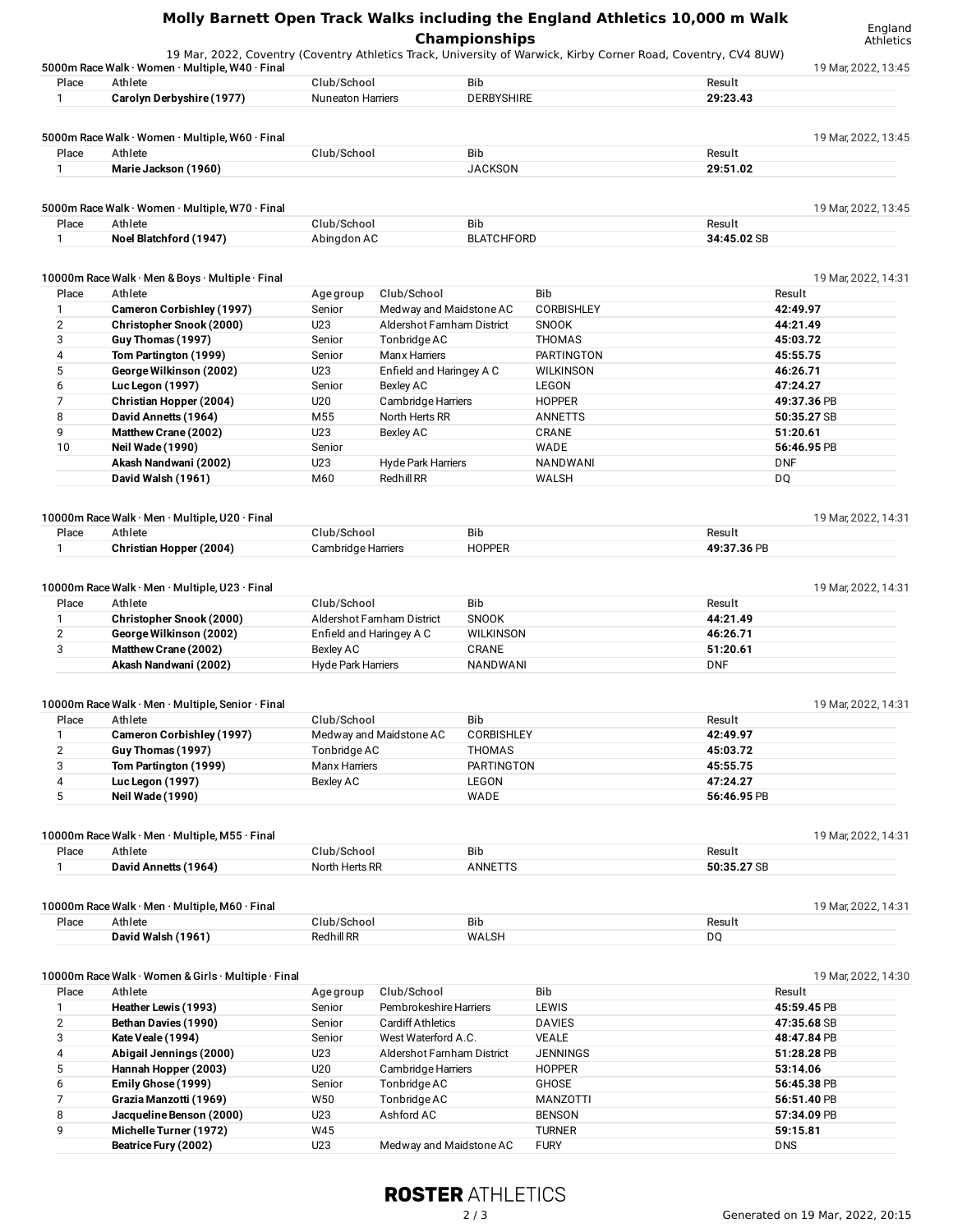## **Molly Barnett Open Track Walks including the England Athletics 10,000 m Walk Championships**

England

|                       | 5000m Race Walk · Women · Multiple, W40 · Final                                       |                           |                            |                                 |                   |                         | 19 Mar, 2022, 13:45 |
|-----------------------|---------------------------------------------------------------------------------------|---------------------------|----------------------------|---------------------------------|-------------------|-------------------------|---------------------|
| Place<br>$\mathbf{1}$ | Athlete                                                                               | Club/School               |                            | <b>Bib</b><br><b>DERBYSHIRE</b> |                   | Result<br>29:23.43      |                     |
|                       | Carolyn Derbyshire (1977)                                                             | <b>Nuneaton Harriers</b>  |                            |                                 |                   |                         |                     |
|                       | 5000m Race Walk · Women · Multiple, W60 · Final                                       |                           |                            |                                 |                   |                         | 19 Mar, 2022, 13:45 |
| Place                 | Athlete                                                                               | Club/School               |                            | Bib                             |                   | Result                  |                     |
| $\mathbf{1}$          | Marie Jackson (1960)                                                                  |                           |                            | <b>JACKSON</b>                  |                   | 29:51.02                |                     |
|                       |                                                                                       |                           |                            |                                 |                   |                         |                     |
| Place                 | 5000m Race Walk · Women · Multiple, W70 · Final<br>Athlete                            | Club/School               |                            | Bib                             |                   | Result                  | 19 Mar, 2022, 13:45 |
| $\mathbf{1}$          | Noel Blatchford (1947)                                                                | Abingdon AC               |                            | <b>BLATCHFORD</b>               |                   | 34:45.02 SB             |                     |
|                       |                                                                                       |                           |                            |                                 |                   |                         |                     |
|                       | 10000m Race Walk · Men & Boys · Multiple · Final                                      |                           |                            |                                 |                   |                         | 19 Mar, 2022, 14:31 |
| Place                 | Athlete                                                                               | Age group                 | Club/School                |                                 | Bib               | Result                  |                     |
| $\mathbf{1}$          | Cameron Corbishley (1997)                                                             | Senior                    | Medway and Maidstone AC    |                                 | <b>CORBISHLEY</b> | 42:49.97                |                     |
| 2                     | Christopher Snook (2000)                                                              | U23                       | Aldershot Farnham District |                                 | SNOOK             | 44:21.49                |                     |
| 3                     | Guy Thomas (1997)                                                                     | Senior                    | Tonbridge AC               |                                 | <b>THOMAS</b>     | 45:03.72                |                     |
| 4                     | Tom Partington (1999)                                                                 | Senior                    | Manx Harriers              |                                 | <b>PARTINGTON</b> | 45:55.75                |                     |
| 5                     | George Wilkinson (2002)                                                               | U23                       | Enfield and Haringey A C   |                                 | <b>WILKINSON</b>  | 46:26.71                |                     |
| 6                     |                                                                                       |                           | <b>Bexley AC</b>           |                                 | <b>LEGON</b>      | 47:24.27                |                     |
|                       | Luc Legon (1997)                                                                      | Senior                    |                            |                                 |                   |                         |                     |
| 7                     | Christian Hopper (2004)                                                               | U20                       | Cambridge Harriers         |                                 | <b>HOPPER</b>     | 49:37.36 PB             |                     |
| 8                     | David Annetts (1964)                                                                  | M55                       | North Herts RR             |                                 | <b>ANNETTS</b>    | 50:35.27 SB             |                     |
| 9                     | Matthew Crane (2002)                                                                  | U23                       | Bexley AC                  |                                 | CRANE             | 51:20.61                |                     |
| 10                    | Neil Wade (1990)                                                                      | Senior                    |                            |                                 | WADE              | 56:46.95 PB             |                     |
|                       | Akash Nandwani (2002)                                                                 | U23                       | <b>Hyde Park Harriers</b>  |                                 | <b>NANDWANI</b>   | <b>DNF</b>              |                     |
|                       | David Walsh (1961)                                                                    | M60                       | <b>Redhill RR</b>          |                                 | WALSH             | DQ                      |                     |
|                       |                                                                                       |                           |                            |                                 |                   |                         |                     |
| Place                 | 10000m Race Walk · Men · Multiple, U20 · Final<br>Athlete                             | Club/School               |                            | <b>Bib</b>                      |                   | Result                  | 19 Mar, 2022, 14:31 |
| $\mathbf{1}$          | Christian Hopper (2004)                                                               | Cambridge Harriers        |                            | <b>HOPPER</b>                   |                   | 49:37.36 PB             |                     |
| Place<br>$\mathbf{1}$ | 10000m Race Walk · Men · Multiple, U23 · Final<br>Athlete<br>Christopher Snook (2000) | Club/School               | Aldershot Farnham District | <b>Bib</b><br><b>SNOOK</b>      |                   | Result<br>44:21.49      | 19 Mar, 2022, 14:31 |
| $\overline{2}$        | George Wilkinson (2002)                                                               |                           | Enfield and Haringey A C   | <b>WILKINSON</b>                |                   | 46:26.71                |                     |
| 3                     | Matthew Crane (2002)                                                                  | <b>Bexley AC</b>          |                            | CRANE                           |                   | 51:20.61                |                     |
|                       | Akash Nandwani (2002)                                                                 | <b>Hyde Park Harriers</b> |                            | <b>NANDWANI</b>                 |                   | <b>DNF</b>              |                     |
|                       |                                                                                       |                           |                            |                                 |                   |                         |                     |
| Place                 | 10000m Race Walk · Men · Multiple, Senior · Final<br>Athlete                          | Club/School               |                            | Bib                             |                   | Result                  | 19 Mar, 2022, 14:31 |
| 1                     | <b>Cameron Corbishley (1997)</b>                                                      |                           | Medway and Maidstone AC    | <b>CORBISHLEY</b>               |                   | 42:49.97                |                     |
| $\mathbf{2}$          | Guy Thomas (1997)                                                                     | Tonbridge AC              |                            | THOMAS                          |                   | 45:03.72                |                     |
| 3                     | Tom Partington (1999)                                                                 | Manx Harriers             |                            | PARTINGTON                      |                   | 45:55.75                |                     |
|                       |                                                                                       |                           |                            |                                 |                   |                         |                     |
| 4<br>5                | Luc Legon (1997)<br><b>Neil Wade (1990)</b>                                           | Bexley AC                 |                            | <b>LEGON</b><br>WADE            |                   | 47:24.27<br>56:46.95 PB |                     |
|                       |                                                                                       |                           |                            |                                 |                   |                         |                     |
|                       | 10000m Race Walk · Men · Multiple, M55 · Final                                        |                           |                            |                                 |                   |                         | 19 Mar, 2022, 14:31 |
| Place                 | Athlete                                                                               | Club/School               |                            | Bib                             |                   | Result                  |                     |
| $\mathbf{1}$          | David Annetts (1964)                                                                  | North Herts RR            |                            | <b>ANNETTS</b>                  |                   | 50:35.27 SB             |                     |
|                       |                                                                                       |                           |                            |                                 |                   |                         |                     |
|                       | 10000m Race Walk · Men · Multiple, M60 · Final                                        |                           |                            |                                 |                   |                         | 19 Mar, 2022, 14:31 |
| Place                 | Athlete                                                                               | Club/School               |                            | Bib                             |                   | Result                  |                     |
|                       | David Walsh (1961)                                                                    | <b>Redhill RR</b>         |                            | <b>WALSH</b>                    |                   | DQ                      |                     |
|                       | 10000m Race Walk · Women & Girls · Multiple · Final                                   |                           |                            |                                 |                   |                         | 19 Mar, 2022, 14:30 |
| Place                 | Athlete                                                                               | Age group                 | Club/School                |                                 | Bib               | Result                  |                     |
| 1                     | Heather Lewis (1993)                                                                  | Senior                    | Pembrokeshire Harriers     |                                 | LEWIS             | 45:59.45 PB             |                     |
| $\mathbf{2}$          | Bethan Davies (1990)                                                                  | Senior                    | <b>Cardiff Athletics</b>   |                                 | <b>DAVIES</b>     | 47:35.68 SB             |                     |
|                       |                                                                                       |                           |                            |                                 |                   |                         |                     |
| 3                     | Kate Veale (1994)                                                                     | Senior                    | West Waterford A.C.        |                                 | <b>VEALE</b>      | 48:47.84 PB             |                     |
| 4                     | Abigail Jennings (2000)                                                               | U23                       | Aldershot Farnham District |                                 | JENNINGS          | 51:28.28 PB             |                     |
| 5                     | Hannah Hopper (2003)                                                                  | U20                       | Cambridge Harriers         |                                 | <b>HOPPER</b>     | 53:14.06                |                     |
| 6                     | Emily Ghose (1999)                                                                    | Senior                    | Tonbridge AC               |                                 | GHOSE             | 56:45.38 PB             |                     |
| 7                     | Grazia Manzotti (1969)                                                                | W50                       | Tonbridge AC               |                                 | <b>MANZOTTI</b>   | 56:51.40 PB             |                     |
| 8                     | Jacqueline Benson (2000)                                                              | U23                       | Ashford AC                 |                                 | <b>BENSON</b>     | 57:34.09 PB             |                     |
| 9                     | Michelle Turner (1972)                                                                | W45                       |                            |                                 | <b>TURNER</b>     | 59:15.81                |                     |

## **ROSTER ATHLETICS**

9 **Michelle Turner (1972)** W45 TURNER **59:15.81 Medway and Maidstone AC**